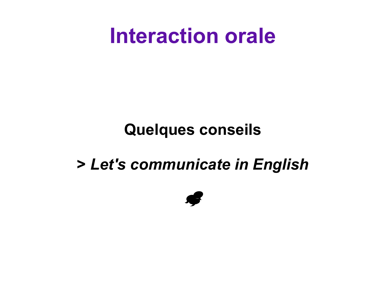#### **Interaction orale**

#### **Quelques conseils**

#### **>** *Let's communicate in English*

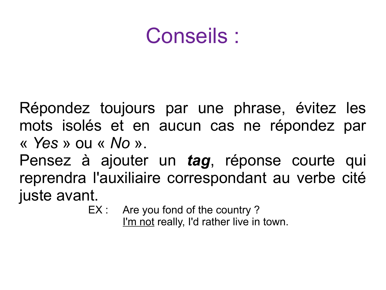### Conseils :

Répondez toujours par une phrase, évitez les mots isolés et en aucun cas ne répondez par « *Yes* » ou « *No* ».

Pensez à ajouter un *tag*, réponse courte qui reprendra l'auxiliaire correspondant au verbe cité juste avant.

EX : Are you fond of the country?

I'm not really, I'd rather live in town.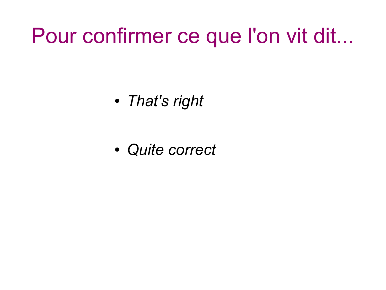### Pour confirmer ce que l'on vit dit...

● *That's right*

● *Quite correct*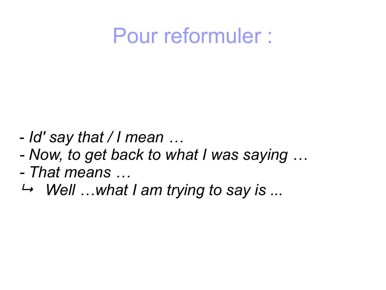### Pour reformuler :

- *Id' say that / I mean …*
- *Now, to get back to what I was saying …*
- *That means …*
- *Well …what I am trying to say is ...*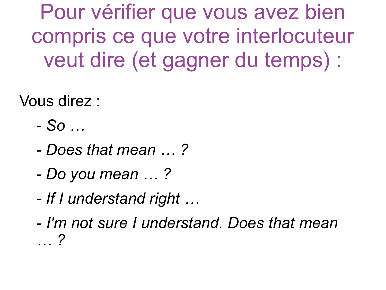Pour vérifier que vous avez bien compris ce que votre interlocuteur veut dire (et gagner du temps) :

Vous direz :

- *So …*
- *Does that mean … ?*
- *Do you mean … ?*
- *If I understand right …*
- *I'm not sure I understand. Does that mean … ?*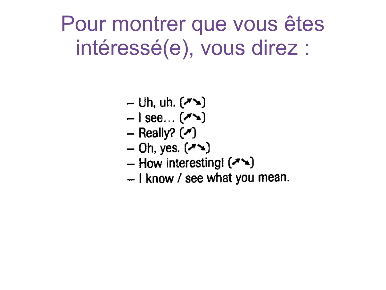Pour montrer que vous êtes intéressé(e), vous direz :

- $-$  Uh, uh.  $(\lambda)$
- $-$  | see...  $(\lambda)$
- Really?  $(\lambda)$
- $-$  Oh, yes.  $(\lambda \rightarrow)$
- How interesting!  $($
- I know / see what you mean.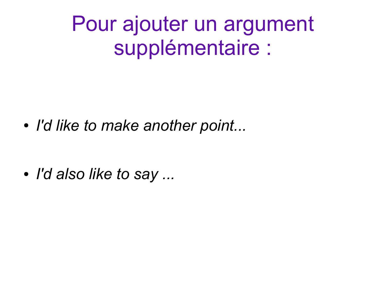Pour ajouter un argument supplémentaire :

● *I'd like to make another point...*

● *I'd also like to say ...*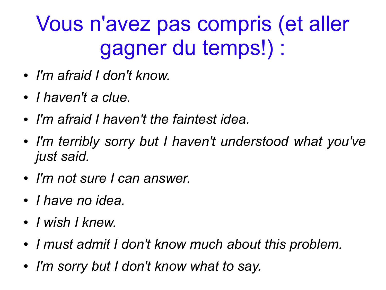# Vous n'avez pas compris (et aller gagner du temps!) :

- *I'm afraid I don't know.*
- *I haven't a clue.*
- *I'm afraid I haven't the faintest idea.*
- *I'm terribly sorry but I haven't understood what you've just said.*
- *I'm not sure I can answer.*
- *I have no idea.*
- *I wish I knew.*
- *I must admit I don't know much about this problem.*
- *I'm sorry but I don't know what to say.*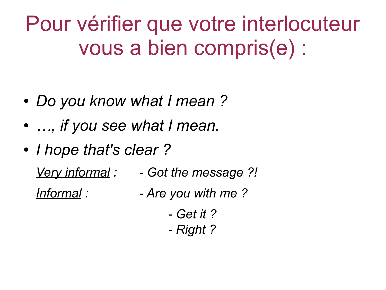Pour vérifier que votre interlocuteur vous a bien compris(e) :

- *Do you know what I mean ?*
- *…, if you see what I mean.*
- *I hope that's clear?*

*Very informal : - Got the message ?! Informal : - Are you with me ?*

> *- Get it ? - Right ?*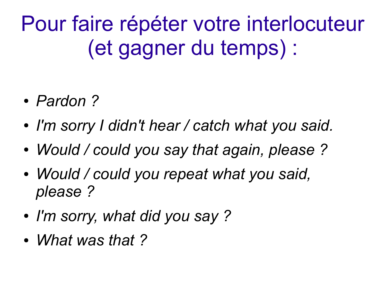Pour faire répéter votre interlocuteur (et gagner du temps) :

- *Pardon ?*
- *I'm sorry I didn't hear / catch what you said.*
- *Would / could you say that again, please ?*
- *Would / could you repeat what you said, please ?*
- *I'm sorry, what did you say ?*
- *What was that ?*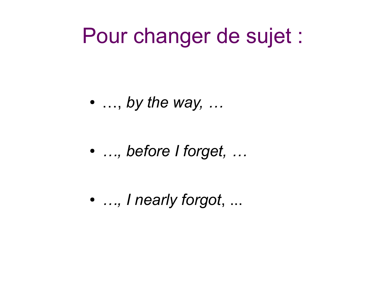### Pour changer de sujet :

 $\bullet$  ..., by the way, ...

• ..., before I forget, ...

• ..., I nearly forgot, ...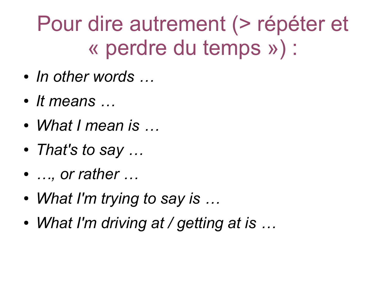# Pour dire autrement (> répéter et « perdre du temps ») :

- *In other words …*
- *It means …*
- *What I mean is …*
- *That's to say …*
- *…, or rather …*
- *What I'm trying to say is …*
- *What I'm driving at / getting at is …*